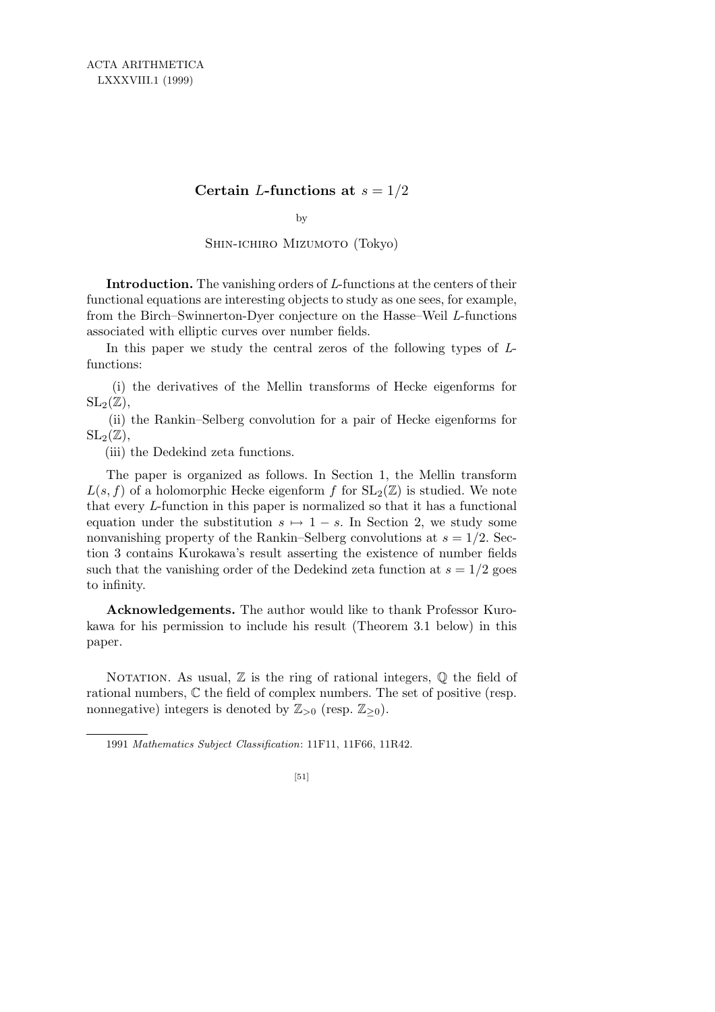## **Certain** *L***-functions at**  $s = 1/2$

by

Shin-ichiro Mizumoto (Tokyo)

**Introduction.** The vanishing orders of *L*-functions at the centers of their functional equations are interesting objects to study as one sees, for example, from the Birch–Swinnerton-Dyer conjecture on the Hasse–Weil *L*-functions associated with elliptic curves over number fields.

In this paper we study the central zeros of the following types of *L*functions:

(i) the derivatives of the Mellin transforms of Hecke eigenforms for  $SL_2(\mathbb{Z}),$ 

(ii) the Rankin–Selberg convolution for a pair of Hecke eigenforms for  $SL_2(\mathbb{Z}),$ 

(iii) the Dedekind zeta functions.

The paper is organized as follows. In Section 1, the Mellin transform  $L(s, f)$  of a holomorphic Hecke eigenform f for  $SL_2(\mathbb{Z})$  is studied. We note that every *L*-function in this paper is normalized so that it has a functional equation under the substitution  $s \mapsto 1-s$ . In Section 2, we study some nonvanishing property of the Rankin–Selberg convolutions at  $s = 1/2$ . Section 3 contains Kurokawa's result asserting the existence of number fields such that the vanishing order of the Dedekind zeta function at  $s = 1/2$  goes to infinity.

**Acknowledgements.** The author would like to thank Professor Kurokawa for his permission to include his result (Theorem 3.1 below) in this paper.

NOTATION. As usual,  $\mathbb Z$  is the ring of rational integers,  $\mathbb Q$  the field of rational numbers, C the field of complex numbers. The set of positive (resp. nonnegative) integers is denoted by  $\mathbb{Z}_{>0}$  (resp.  $\mathbb{Z}_{>0}$ ).

1991 *Mathematics Subject Classification*: 11F11, 11F66, 11R42.

[51]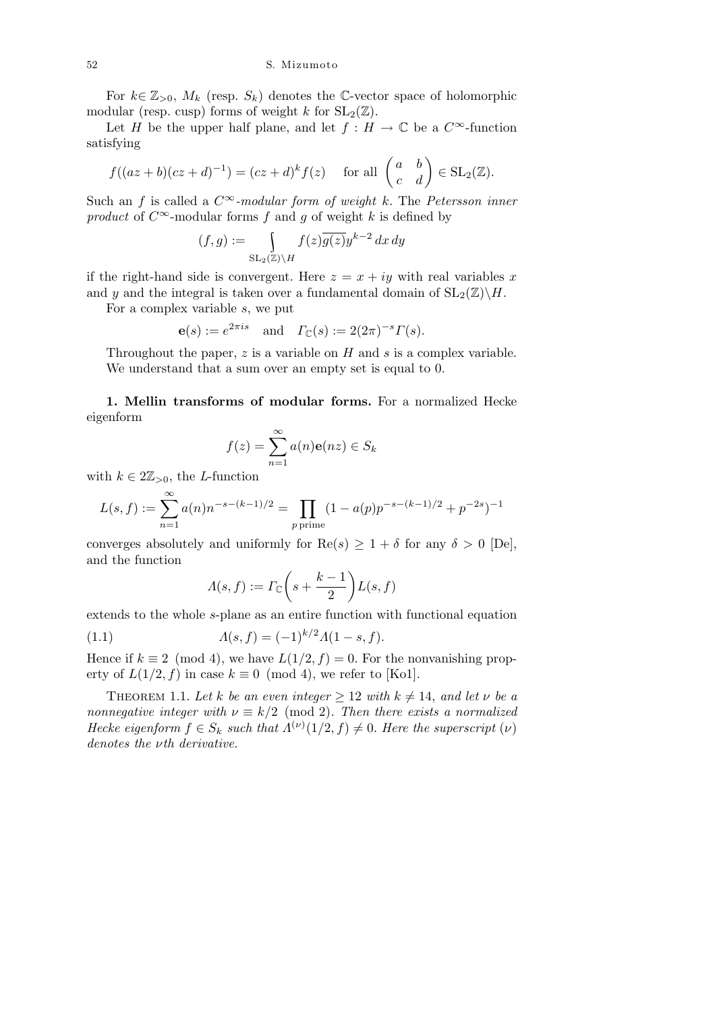For  $k \in \mathbb{Z}_{>0}$ ,  $M_k$  (resp.  $S_k$ ) denotes the C-vector space of holomorphic modular (resp. cusp) forms of weight *k* for  $SL_2(\mathbb{Z})$ .

Let *H* be the upper half plane, and let  $f : H \to \mathbb{C}$  be a  $C^{\infty}$ -function satisfying

$$
f((az+b)(cz+d)^{-1}) = (cz+d)^{k} f(z) \quad \text{for all } \begin{pmatrix} a & b \\ c & d \end{pmatrix} \in SL_2(\mathbb{Z}).
$$

Such an *f* is called a  $C^{\infty}$ -modular form of weight *k*. The *Petersson inner product* of  $C^{\infty}$ -modular forms *f* and *g* of weight *k* is defined by

$$
(f,g) := \int_{\mathrm{SL}_2(\mathbb{Z}) \backslash H} f(z) \overline{g(z)} y^{k-2} \, dx \, dy
$$

if the right-hand side is convergent. Here  $z = x + iy$  with real variables x and *y* and the integral is taken over a fundamental domain of  $SL_2(\mathbb{Z})\backslash H$ .

For a complex variable *s*, we put

$$
\mathbf{e}(s) := e^{2\pi i s}
$$
 and  $\Gamma_{\mathbb{C}}(s) := 2(2\pi)^{-s} \Gamma(s).$ 

Throughout the paper, *z* is a variable on *H* and *s* is a complex variable. We understand that a sum over an empty set is equal to 0.

**1. Mellin transforms of modular forms.** For a normalized Hecke eigenform

$$
f(z) = \sum_{n=1}^{\infty} a(n)e(nz) \in S_k
$$

with  $k \in 2\mathbb{Z}_{>0}$ , the *L*-function

$$
L(s,f) := \sum_{n=1}^{\infty} a(n) n^{-s - (k-1)/2} = \prod_{p \text{ prime}} (1 - a(p) p^{-s - (k-1)/2} + p^{-2s})^{-1}
$$

converges absolutely and uniformly for  $\text{Re}(s) \geq 1 + \delta$  for any  $\delta > 0$  [De], and the function  $\overline{1}$  $\mathbf{r}$ 

$$
\varLambda(s,f):=\varGamma_\mathbb{C}\bigg(s+\frac{k-1}{2}\bigg)L(s,f)
$$

extends to the whole *s*-plane as an entire function with functional equation

(1.1) 
$$
\Lambda(s,f) = (-1)^{k/2} \Lambda(1-s,f).
$$

Hence if  $k \equiv 2 \pmod{4}$ , we have  $L(1/2, f) = 0$ . For the nonvanishing property of  $L(1/2, f)$  in case  $k \equiv 0 \pmod{4}$ , we refer to [Ko1].

THEOREM 1.1. Let *k* be an even integer  $\geq 12$  with  $k \neq 14$ , and let *v* be a *nonnegative integer with*  $\nu \equiv k/2 \pmod{2}$ *. Then there exists a normalized Hecke eigenform*  $f \in S_k$  *such that*  $\Lambda^{(\nu)}(1/2, f) \neq 0$ *. Here the superscript*  $(\nu)$ *denotes the νth derivative.*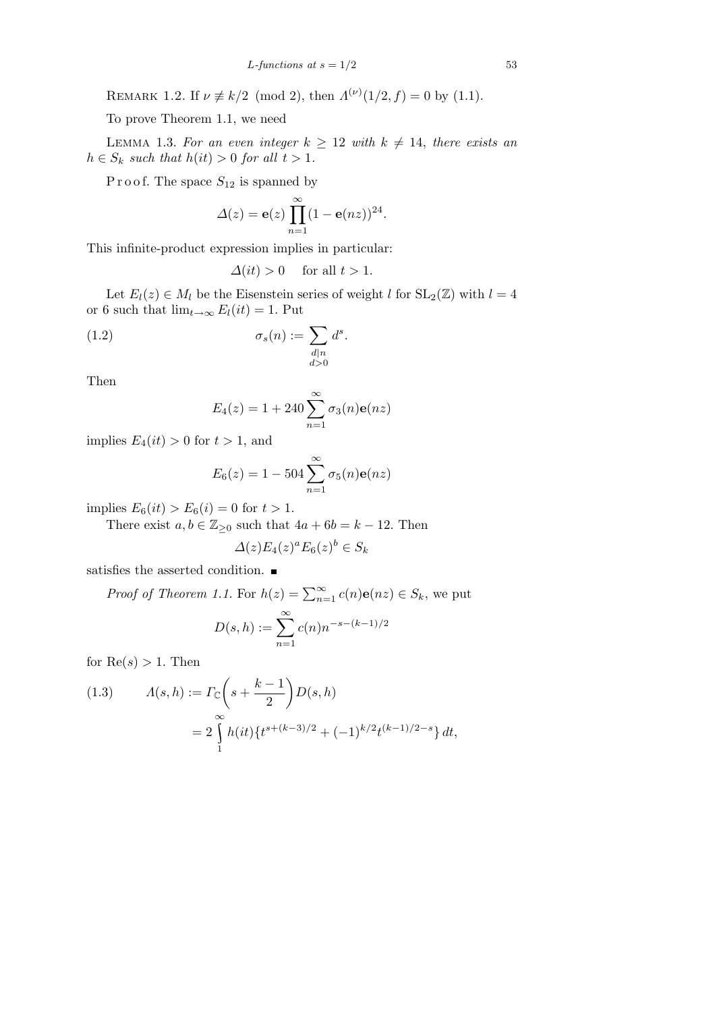REMARK 1.2. If  $\nu \neq k/2 \pmod{2}$ , then  $\Lambda^{(\nu)}(1/2, f) = 0$  by (1.1).

To prove Theorem 1.1, we need

LEMMA 1.3. For an even integer  $k \geq 12$  with  $k \neq 14$ , there exists an  $h \in S_k$  *such that*  $h(it) > 0$  *for all*  $t > 1$ *.* 

P r o o f. The space  $S_{12}$  is spanned by

$$
\Delta(z) = \mathbf{e}(z) \prod_{n=1}^{\infty} (1 - \mathbf{e}(nz))^{24}.
$$

This infinite-product expression implies in particular:

$$
\Delta(it) > 0 \quad \text{ for all } t > 1.
$$

Let  $E_l(z) \in M_l$  be the Eisenstein series of weight *l* for  $SL_2(\mathbb{Z})$  with  $l = 4$ or 6 such that  $\lim_{t\to\infty} E_l(it) = 1$ . Put

(1.2) 
$$
\sigma_s(n) := \sum_{\substack{d|n\\d>0}} d^s.
$$

Then

$$
E_4(z) = 1 + 240 \sum_{n=1}^{\infty} \sigma_3(n) e(nz)
$$

implies  $E_4(it) > 0$  for  $t > 1$ , and

$$
E_6(z) = 1 - 504 \sum_{n=1}^{\infty} \sigma_5(n) e(nz)
$$

 $\text{implies } E_6(it) > E_6(i) = 0 \text{ for } t > 1.$ 

There exist  $a, b \in \mathbb{Z}_{\geq 0}$  such that  $4a + 6b = k - 12$ . Then

$$
\Delta(z)E_4(z)^a E_6(z)^b \in S_k
$$

satisfies the asserted condition.  $\blacksquare$ 

*Proof of Theorem 1.1.* For  $h(z) = \sum_{n=1}^{\infty} c(n) \mathbf{e}(nz) \in S_k$ , we put

$$
D(s,h) := \sum_{n=1}^{\infty} c(n) n^{-s - (k-1)/2}
$$

for  $Re(s) > 1$ . Then

(1.3) 
$$
\Lambda(s,h) := \Gamma_{\mathbb{C}}\left(s + \frac{k-1}{2}\right)D(s,h)
$$

$$
= 2\int_{1}^{\infty} h(it)\left\{t^{s + (k-3)/2} + (-1)^{k/2}t^{(k-1)/2-s}\right\}dt,
$$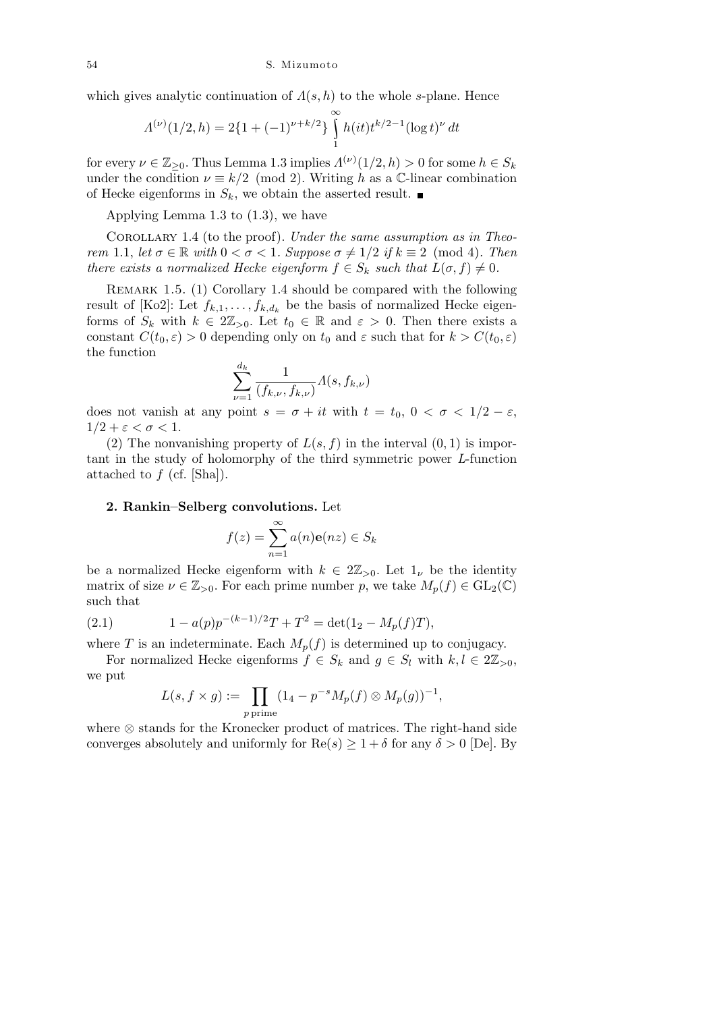which gives analytic continuation of  $\Lambda(s, h)$  to the whole *s*-plane. Hence

$$
\Lambda^{(\nu)}(1/2,h) = 2\{1 + (-1)^{\nu + k/2}\} \int_{1}^{\infty} h(it) t^{k/2 - 1} (\log t)^{\nu} dt
$$

for every  $\nu \in \mathbb{Z}_{\geq 0}$ . Thus Lemma 1.3 implies  $\Lambda^{(\nu)}(1/2, h) > 0$  for some  $h \in S_k$ under the condition  $\nu \equiv k/2 \pmod{2}$ . Writing *h* as a C-linear combination of Hecke eigenforms in  $S_k$ , we obtain the asserted result.

Applying Lemma 1.3 to (1.3), we have

Corollary 1.4 (to the proof). *Under the same assumption as in Theorem* 1.1, *let*  $\sigma \in \mathbb{R}$  *with*  $0 < \sigma < 1$ *. Suppose*  $\sigma \neq 1/2$  *if*  $k \equiv 2 \pmod{4}$ *. Then there exists a normalized Hecke eigenform*  $f \in S_k$  *such that*  $L(\sigma, f) \neq 0$ *.* 

Remark 1.5. (1) Corollary 1.4 should be compared with the following result of [Ko2]: Let  $f_{k,1}, \ldots, f_{k,d_k}$  be the basis of normalized Hecke eigenforms of  $S_k$  with  $k \in 2\mathbb{Z}_{>0}$ . Let  $t_0 \in \mathbb{R}$  and  $\varepsilon > 0$ . Then there exists a constant  $C(t_0, \varepsilon) > 0$  depending only on  $t_0$  and  $\varepsilon$  such that for  $k > C(t_0, \varepsilon)$ the function

$$
\sum_{\nu=1}^{d_k} \frac{1}{(f_{k,\nu}, f_{k,\nu})} \Lambda(s, f_{k,\nu})
$$

does not vanish at any point  $s = \sigma + it$  with  $t = t_0, 0 < \sigma < 1/2 - \varepsilon$ ,  $1/2 + \varepsilon < \sigma < 1$ .

(2) The nonvanishing property of  $L(s, f)$  in the interval  $(0, 1)$  is important in the study of holomorphy of the third symmetric power *L*-function attached to *f* (cf. [Sha]).

## **2. Rankin–Selberg convolutions.** Let

$$
f(z) = \sum_{n=1}^{\infty} a(n)\mathbf{e}(nz) \in S_k
$$

be a normalized Hecke eigenform with  $k \in 2\mathbb{Z}_{>0}$ . Let  $1_{\nu}$  be the identity matrix of size  $\nu \in \mathbb{Z}_{>0}$ . For each prime number p, we take  $M_p(f) \in GL_2(\mathbb{C})$ such that

(2.1) 
$$
1 - a(p)p^{-(k-1)/2}T + T^2 = \det(1_2 - M_p(f)T),
$$

where *T* is an indeterminate. Each  $M_p(f)$  is determined up to conjugacy.

For normalized Hecke eigenforms  $f \in S_k$  and  $g \in S_l$  with  $k, l \in 2\mathbb{Z}_{>0}$ , we put

$$
L(s, f \times g) := \prod_{p \text{ prime}} (1_4 - p^{-s} M_p(f) \otimes M_p(g))^{-1},
$$

where *⊗* stands for the Kronecker product of matrices. The right-hand side converges absolutely and uniformly for  $\text{Re}(s) \geq 1 + \delta$  for any  $\delta > 0$  [De]. By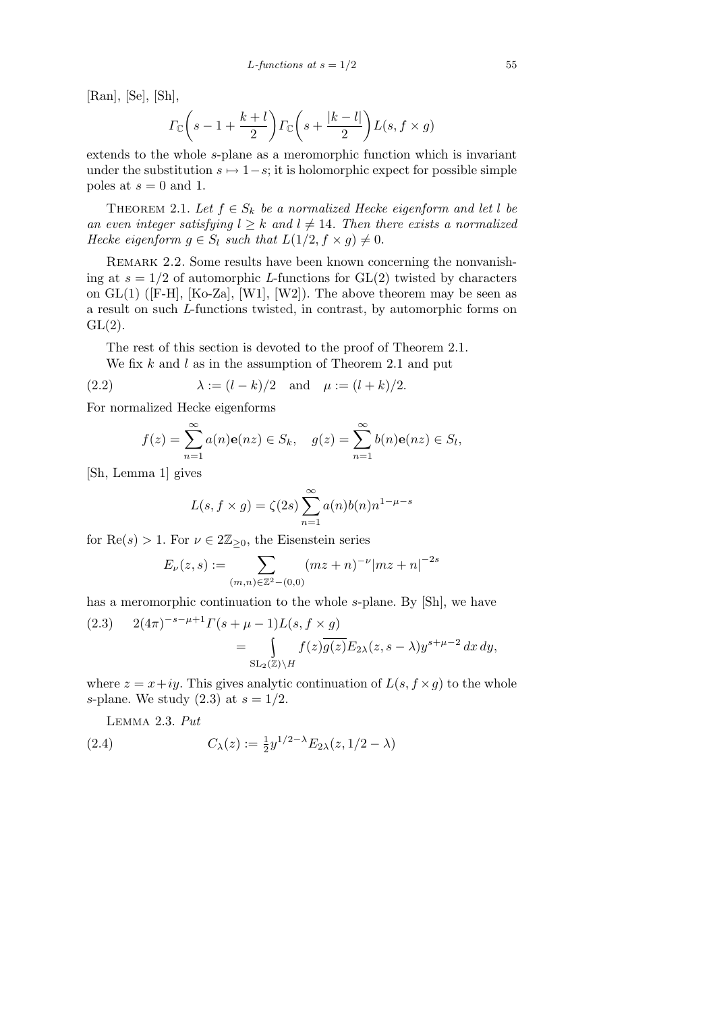[Ran], [Se], [Sh],

$$
\Gamma_{\mathbb{C}}\bigg(s-1+\frac{k+l}{2}\bigg)\Gamma_{\mathbb{C}}\bigg(s+\frac{|k-l|}{2}\bigg)L(s,f\times g)
$$

extends to the whole *s*-plane as a meromorphic function which is invariant under the substitution  $s \mapsto 1-s$ ; it is holomorphic expect for possible simple poles at  $s = 0$  and 1.

THEOREM 2.1. Let  $f \in S_k$  be a normalized Hecke eigenform and let l be *an even integer satisfying*  $l \geq k$  *and*  $l \neq 14$ *. Then there exists a normalized Hecke eigenform*  $g \in S_l$  *such that*  $L(1/2, f \times g) \neq 0$ *.* 

REMARK 2.2. Some results have been known concerning the nonvanishing at  $s = 1/2$  of automorphic *L*-functions for  $GL(2)$  twisted by characters on  $GL(1)$  ([F-H], [Ko-Za], [W1], [W2]). The above theorem may be seen as a result on such *L*-functions twisted, in contrast, by automorphic forms on  $GL(2)$ .

The rest of this section is devoted to the proof of Theorem 2.1.

We fix *k* and *l* as in the assumption of Theorem 2.1 and put

(2.2) 
$$
\lambda := (l - k)/2
$$
 and  $\mu := (l + k)/2$ .

For normalized Hecke eigenforms

$$
f(z) = \sum_{n=1}^{\infty} a(n)e(nz) \in S_k, \quad g(z) = \sum_{n=1}^{\infty} b(n)e(nz) \in S_l,
$$

[Sh, Lemma 1] gives

$$
L(s, f \times g) = \zeta(2s) \sum_{n=1}^{\infty} a(n)b(n)n^{1-\mu-s}
$$

for  $\text{Re}(s) > 1$ . For  $\nu \in 2\mathbb{Z}_{\geq 0}$ , the Eisenstein series

$$
E_{\nu}(z,s) := \sum_{(m,n)\in\mathbb{Z}^2 - (0,0)} (mz+n)^{-\nu} |mz+n|^{-2s}
$$

has a meromorphic continuation to the whole *s*-plane. By [Sh], we have

(2.3) 
$$
2(4\pi)^{-s-\mu+1}\Gamma(s+\mu-1)L(s, f \times g)
$$
  
= 
$$
\int_{SL_2(\mathbb{Z})\backslash H} f(z)\overline{g(z)}E_{2\lambda}(z, s-\lambda)y^{s+\mu-2} dx dy,
$$

where  $z = x + iy$ . This gives analytic continuation of  $L(s, f \times g)$  to the whole *s*-plane. We study (2.3) at *s* = 1*/*2.

Lemma 2.3. *Put*

(2.4) 
$$
C_{\lambda}(z) := \frac{1}{2} y^{1/2 - \lambda} E_{2\lambda}(z, 1/2 - \lambda)
$$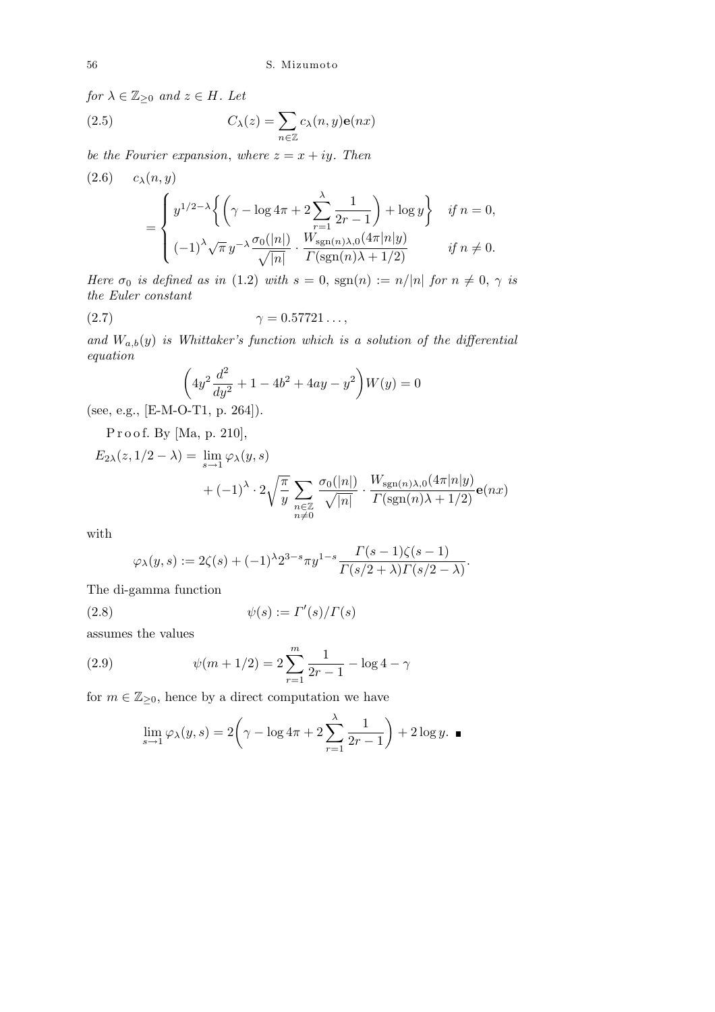*for*  $\lambda \in \mathbb{Z}_{\geq 0}$  *and*  $z \in H$ *. Let* 

(2.5) 
$$
C_{\lambda}(z) = \sum_{n \in \mathbb{Z}} c_{\lambda}(n, y) \mathbf{e}(nx)
$$

*be the Fourier expansion, where*  $z = x + iy$ *. Then* 

$$
(2.6) \t c_{\lambda}(n,y)
$$
  
= 
$$
\begin{cases} y^{1/2-\lambda} \left\{ \left( \gamma - \log 4\pi + 2 \sum_{r=1}^{\lambda} \frac{1}{2r-1} \right) + \log y \right\} & \text{if } n = 0, \\ (-1)^{\lambda} \sqrt{\pi} y^{-\lambda} \frac{\sigma_0(|n|)}{\sqrt{|n|}} \cdot \frac{W_{\text{sgn}(n)\lambda,0}(4\pi|n|y)}{\Gamma(\text{sgn}(n)\lambda + 1/2)} & \text{if } n \neq 0. \end{cases}
$$

*Here*  $\sigma_0$  *is defined as in* (1.2) *with*  $s = 0$ ,  $sgn(n) := n/|n|$  *for*  $n \neq 0$ ,  $\gamma$  *is the Euler constant*

$$
\gamma = 0.57721\dots,
$$

and  $W_{a,b}(y)$  *is Whittaker's function which is a solution of the differential equation*  $\overline{1}$  $\mathbf{r}$ 

$$
\left(4y^2\frac{d^2}{dy^2} + 1 - 4b^2 + 4ay - y^2\right)W(y) = 0
$$

(see, e.g., [E-M-O-T1, p. 264]).

P r o o f. By [Ma, p. 210],

$$
E_{2\lambda}(z, 1/2 - \lambda) = \lim_{s \to 1} \varphi_{\lambda}(y, s)
$$
  
+  $(-1)^{\lambda} \cdot 2 \sqrt{\frac{\pi}{y}} \sum_{\substack{n \in \mathbb{Z} \\ n \neq 0}} \frac{\sigma_0(|n|)}{\sqrt{|n|}} \cdot \frac{W_{\text{sgn}(n)\lambda, 0}(4\pi|n|y)}{\Gamma(\text{sgn}(n)\lambda + 1/2)} \mathbf{e}(nx)$ 

with

$$
\varphi_{\lambda}(y,s) := 2\zeta(s) + (-1)^{\lambda} 2^{3-s} \pi y^{1-s} \frac{\Gamma(s-1)\zeta(s-1)}{\Gamma(s/2+\lambda)\Gamma(s/2-\lambda)}
$$

*.*

The di-gamma function

(2.8) 
$$
\psi(s) := \Gamma'(s)/\Gamma(s)
$$

assumes the values

(2.9) 
$$
\psi(m+1/2) = 2\sum_{r=1}^{m} \frac{1}{2r-1} - \log 4 - \gamma
$$

for  $m \in \mathbb{Z}_{\geq 0}$ , hence by a direct computation we have

$$
\lim_{s \to 1} \varphi_{\lambda}(y, s) = 2\left(\gamma - \log 4\pi + 2\sum_{r=1}^{\lambda} \frac{1}{2r - 1}\right) + 2\log y. \blacksquare
$$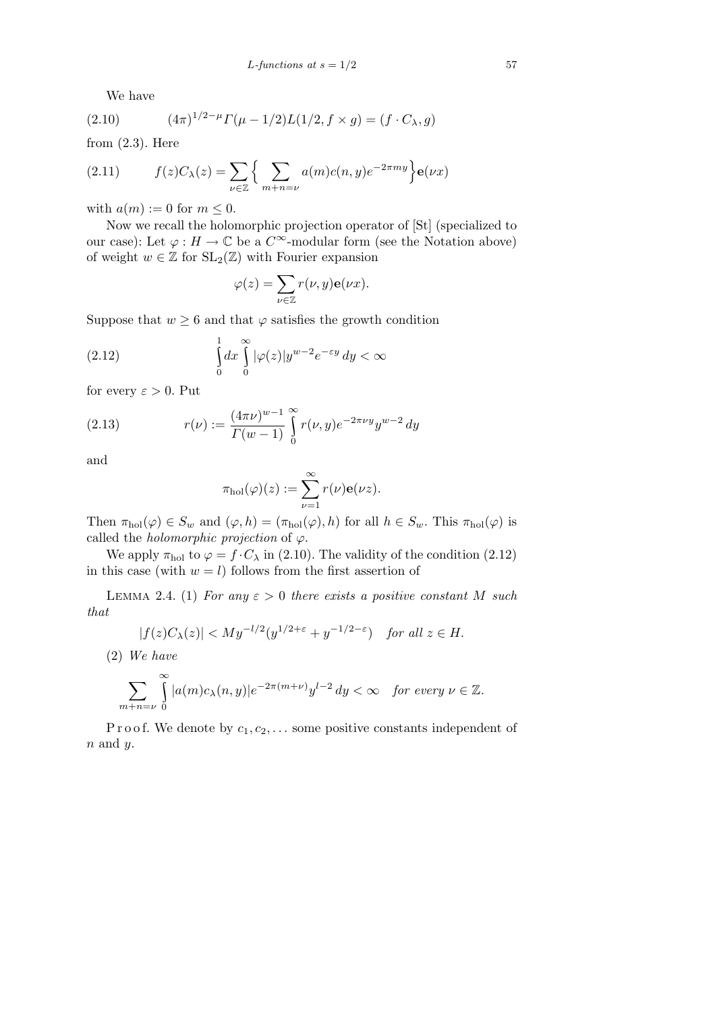We have

(2.10) 
$$
(4\pi)^{1/2-\mu} \Gamma(\mu - 1/2) L(1/2, f \times g) = (f \cdot C_{\lambda}, g)
$$

from  $(2.3)$ . Here

(2.11) 
$$
f(z)C_{\lambda}(z) = \sum_{\nu \in \mathbb{Z}} \left\{ \sum_{m+n=\nu} a(m)c(n,y)e^{-2\pi my} \right\} e(\nu x)
$$

with  $a(m) := 0$  for  $m \leq 0$ .

Now we recall the holomorphic projection operator of [St] (specialized to our case): Let  $\varphi : H \to \mathbb{C}$  be a  $C^{\infty}$ -modular form (see the Notation above) of weight  $w \in \mathbb{Z}$  for  $SL_2(\mathbb{Z})$  with Fourier expansion

$$
\varphi(z) = \sum_{\nu \in \mathbb{Z}} r(\nu, y) \mathbf{e}(\nu x).
$$

Suppose that  $w \geq 6$  and that  $\varphi$  satisfies the growth condition

(2.12) 
$$
\int_{0}^{1} dx \int_{0}^{\infty} |\varphi(z)| y^{w-2} e^{-\varepsilon y} dy < \infty
$$

for every  $\varepsilon > 0$ . Put

(2.13) 
$$
r(\nu) := \frac{(4\pi\nu)^{w-1}}{\Gamma(w-1)} \int_{0}^{\infty} r(\nu, y) e^{-2\pi\nu y} y^{w-2} dy
$$

and

$$
\pi_{\text{hol}}(\varphi)(z) := \sum_{\nu=1}^{\infty} r(\nu) \mathbf{e}(\nu z).
$$

Then  $\pi_{hol}(\varphi) \in S_w$  and  $(\varphi, h) = (\pi_{hol}(\varphi), h)$  for all  $h \in S_w$ . This  $\pi_{hol}(\varphi)$  is called the *holomorphic projection* of  $\varphi$ .

We apply  $\pi_{hol}$  to  $\varphi = f \cdot C_\lambda$  in (2.10). The validity of the condition (2.12) in this case (with  $w = l$ ) follows from the first assertion of

LEMMA 2.4. (1) *For any*  $\varepsilon > 0$  *there exists a positive constant M such that*

$$
|f(z)C_{\lambda}(z)| < My^{-l/2}(y^{1/2+\varepsilon} + y^{-1/2-\varepsilon}) \quad \text{for all } z \in H.
$$

(2) *We have*

$$
\sum_{m+n=\nu} \int_{0}^{\infty} |a(m)c_{\lambda}(n,y)| e^{-2\pi(m+\nu)} y^{l-2} dy < \infty \quad \text{for every } \nu \in \mathbb{Z}.
$$

P r o o f. We denote by  $c_1, c_2, \ldots$  some positive constants independent of *n* and *y*.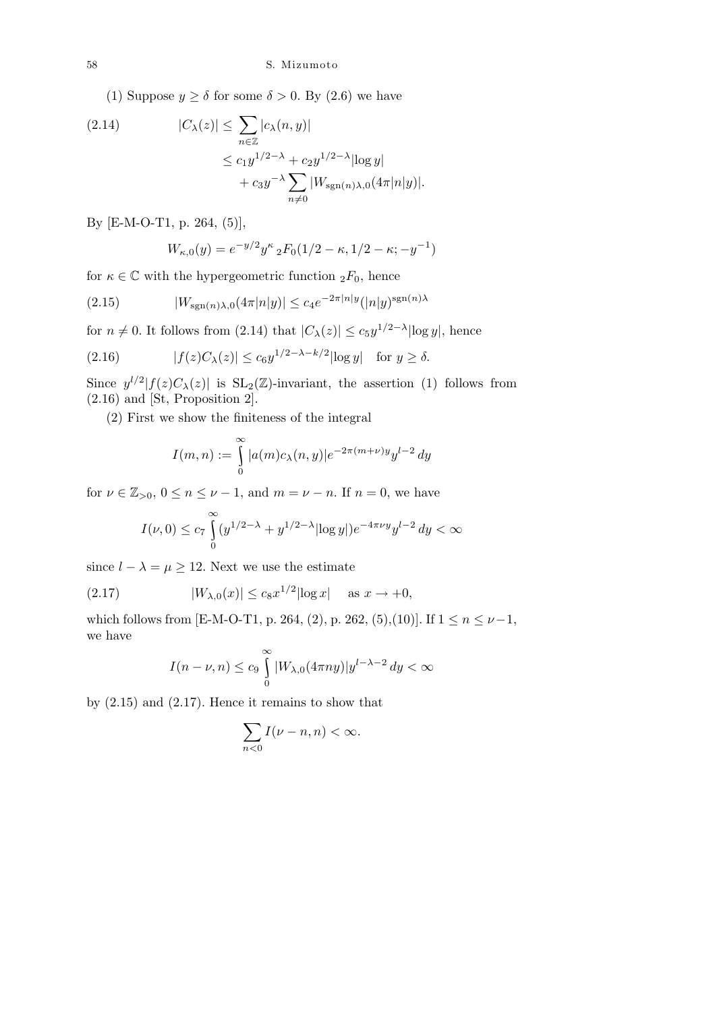(1) Suppose  $y \ge \delta$  for some  $\delta > 0$ . By (2.6) we have

(2.14) 
$$
|C_{\lambda}(z)| \leq \sum_{n \in \mathbb{Z}} |c_{\lambda}(n, y)|
$$

$$
\leq c_1 y^{1/2 - \lambda} + c_2 y^{1/2 - \lambda} |\log y|
$$

$$
+ c_3 y^{-\lambda} \sum_{n \neq 0} |W_{\text{sgn}(n)\lambda,0}(4\pi |n|y)|.
$$

By [E-M-O-T1, p. 264, (5)],

$$
W_{\kappa,0}(y) = e^{-y/2} y^{\kappa} {}_{2}F_{0}(1/2-\kappa,1/2-\kappa;-y^{-1})
$$

for  $\kappa \in \mathbb{C}$  with the hypergeometric function  ${}_2F_0$ , hence

(2.15) 
$$
|W_{\text{sgn}(n)\lambda,0}(4\pi|n|y)| \le c_4 e^{-2\pi|n|y} (|n|y)^{\text{sgn}(n)\lambda}
$$

for  $n \neq 0$ . It follows from  $(2.14)$  that  $|C_{\lambda}(z)| \leq c_5 y^{1/2-\lambda} |\log y|$ , hence

(2.16) 
$$
|f(z)C_{\lambda}(z)| \leq c_6 y^{1/2-\lambda-k/2} |\log y| \text{ for } y \geq \delta.
$$

Since  $y^{l/2} | f(z) C_{\lambda}(z) |$  is  $SL_2(\mathbb{Z})$ -invariant, the assertion (1) follows from (2.16) and [St, Proposition 2].

(2) First we show the finiteness of the integral

$$
I(m,n) := \int_{0}^{\infty} |a(m)c_{\lambda}(n,y)|e^{-2\pi(m+\nu)y}y^{l-2} dy
$$

for  $\nu \in \mathbb{Z}_{>0}$ ,  $0 \leq n \leq \nu - 1$ , and  $m = \nu - n$ . If  $n = 0$ , we have

$$
I(\nu,0) \le c_7 \int_{0}^{\infty} (y^{1/2-\lambda} + y^{1/2-\lambda} |\log y|) e^{-4\pi\nu y} y^{l-2} dy < \infty
$$

since  $l - \lambda = \mu \geq 12$ . Next we use the estimate

(2.17) 
$$
|W_{\lambda,0}(x)| \le c_8 x^{1/2} |\log x| \text{ as } x \to +0,
$$

which follows from [E-M-O-T1, p. 264, (2), p. 262, (5),(10)]. If  $1 \le n \le \nu - 1$ , we have

$$
I(n-\nu,n) \le c_9 \int_0^\infty |W_{\lambda,0}(4\pi ny)|y^{l-\lambda-2} dy < \infty
$$

by (2.15) and (2.17). Hence it remains to show that

$$
\sum_{n<0} I(\nu - n, n) < \infty.
$$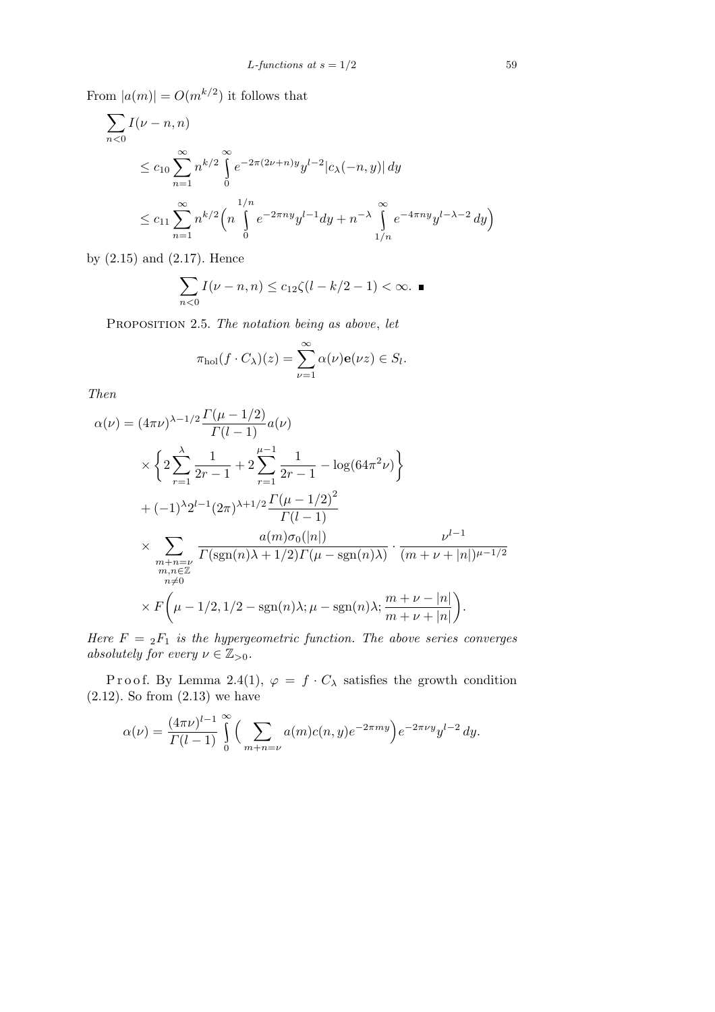From  $|a(m)| = O(m^{k/2})$  it follows that

$$
\sum_{n<0} I(\nu - n, n)
$$
\n
$$
\leq c_{10} \sum_{n=1}^{\infty} n^{k/2} \int_{0}^{\infty} e^{-2\pi (2\nu + n)y} y^{l-2} |c_{\lambda}(-n, y)| dy
$$
\n
$$
\leq c_{11} \sum_{n=1}^{\infty} n^{k/2} \left( n \int_{0}^{1/n} e^{-2\pi ny} y^{l-1} dy + n^{-\lambda} \int_{1/n}^{\infty} e^{-4\pi ny} y^{l-\lambda - 2} dy \right)
$$

by (2.15) and (2.17). Hence

$$
\sum_{n<0} I(\nu - n, n) \le c_{12}\zeta(l - k/2 - 1) < \infty.
$$

Proposition 2.5. *The notation being as above*, *let*

$$
\pi_{hol}(f \cdot C_{\lambda})(z) = \sum_{\nu=1}^{\infty} \alpha(\nu) \mathbf{e}(\nu z) \in S_l.
$$

*Then*

$$
\alpha(\nu) = (4\pi\nu)^{\lambda - 1/2} \frac{\Gamma(\mu - 1/2)}{\Gamma(l - 1)} a(\nu)
$$
  
\n
$$
\times \left\{ 2 \sum_{r=1}^{\lambda} \frac{1}{2r - 1} + 2 \sum_{r=1}^{\mu - 1} \frac{1}{2r - 1} - \log(64\pi^2 \nu) \right\}
$$
  
\n
$$
+ (-1)^{\lambda} 2^{l - 1} (2\pi)^{\lambda + 1/2} \frac{\Gamma(\mu - 1/2)^2}{\Gamma(l - 1)}
$$
  
\n
$$
\times \sum_{\substack{m+n=\nu \\ m,n \in \mathbb{Z} \\ n \neq 0}} \frac{a(m)\sigma_0(|n|)}{\Gamma(\text{sgn}(n)\lambda + 1/2)\Gamma(\mu - \text{sgn}(n)\lambda)} \cdot \frac{\nu^{l - 1}}{(m + \nu + |n|)^{\mu - 1/2}}
$$
  
\n
$$
\times F\left(\mu - 1/2, 1/2 - \text{sgn}(n)\lambda; \mu - \text{sgn}(n)\lambda; \frac{m + \nu - |n|}{m + \nu + |n|}\right).
$$

*Here*  $F = {}_2F_1$  *is the hypergeometric function. The above series converges absolutely for every*  $\nu \in \mathbb{Z}_{>0}$ *.* 

Proof. By Lemma 2.4(1),  $\varphi = f \cdot C_{\lambda}$  satisfies the growth condition  $(2.12)$ . So from  $(2.13)$  we have

$$
\alpha(\nu) = \frac{(4\pi\nu)^{l-1}}{\Gamma(l-1)} \int_{0}^{\infty} \Big( \sum_{m+n=\nu} a(m)c(n,y)e^{-2\pi my} \Big) e^{-2\pi\nu y} y^{l-2} dy.
$$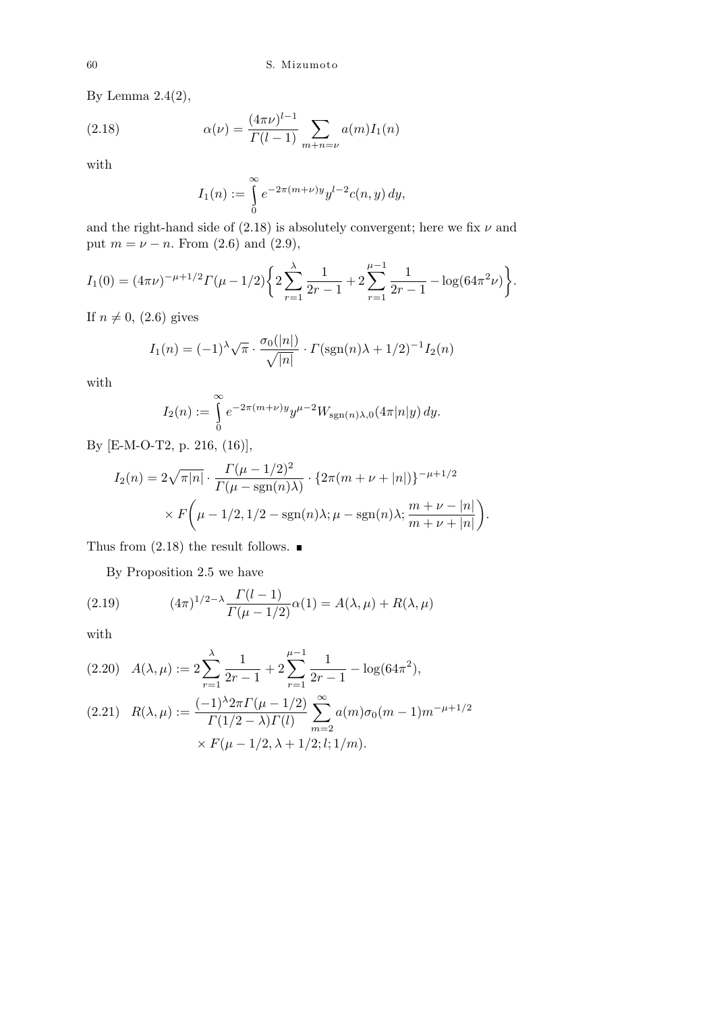By Lemma  $2.4(2)$ ,

(2.18) 
$$
\alpha(\nu) = \frac{(4\pi\nu)^{l-1}}{\Gamma(l-1)} \sum_{m+n=\nu} a(m) I_1(n)
$$

with

$$
I_1(n) := \int_{0}^{\infty} e^{-2\pi(m+\nu)y} y^{l-2} c(n, y) dy,
$$

and the right-hand side of  $(2.18)$  is absolutely convergent; here we fix  $\nu$  and put  $m = \nu - n$ . From (2.6) and (2.9),

$$
I_1(0) = (4\pi\nu)^{-\mu+1/2} \Gamma(\mu - 1/2) \left\{ 2 \sum_{r=1}^{\lambda} \frac{1}{2r-1} + 2 \sum_{r=1}^{\mu-1} \frac{1}{2r-1} - \log(64\pi^2 \nu) \right\}.
$$

If  $n \neq 0$ , (2.6) gives

$$
I_1(n) = (-1)^{\lambda} \sqrt{\pi} \cdot \frac{\sigma_0(|n|)}{\sqrt{|n|}} \cdot \Gamma(\text{sgn}(n)\lambda + 1/2)^{-1} I_2(n)
$$

with

$$
I_2(n) := \int_{0}^{\infty} e^{-2\pi(m+\nu)y} y^{\mu-2} W_{sgn(n)\lambda,0}(4\pi |n|y) dy.
$$

By [E-M-O-T2, p. 216, (16)],

$$
I_2(n) = 2\sqrt{\pi |n|} \cdot \frac{\Gamma(\mu - 1/2)^2}{\Gamma(\mu - \text{sgn}(n)\lambda)} \cdot \{2\pi (m + \nu + |n|)\}^{-\mu + 1/2} \times F\left(\mu - 1/2, 1/2 - \text{sgn}(n)\lambda; \mu - \text{sgn}(n)\lambda; \frac{m + \nu - |n|}{m + \nu + |n|}\right).
$$

Thus from  $(2.18)$  the result follows.  $\blacksquare$ 

By Proposition 2.5 we have

(2.19) 
$$
(4\pi)^{1/2-\lambda} \frac{\Gamma(l-1)}{\Gamma(\mu-1/2)} \alpha(1) = A(\lambda, \mu) + R(\lambda, \mu)
$$

with

$$
(2.20) \quad A(\lambda,\mu) := 2\sum_{r=1}^{\lambda} \frac{1}{2r-1} + 2\sum_{r=1}^{\mu-1} \frac{1}{2r-1} - \log(64\pi^2),
$$
\n
$$
(2.21) \quad R(\lambda,\mu) := \frac{(-1)^{\lambda} 2\pi \Gamma(\mu-1/2)}{\Gamma(4/2)\Gamma(\mu-1/2)} \sum_{r=1}^{\infty} a(m)\sigma_0(m-1)m^{-\mu+1}
$$

$$
(2.21) \quad R(\lambda,\mu) := \frac{(-1)^2 \pi I \ (\mu - 1/2)}{\Gamma(1/2 - \lambda)\Gamma(l)} \sum_{m=2} a(m)\sigma_0(m-1)m^{-\mu+1/2}
$$

$$
\times F(\mu - 1/2, \lambda + 1/2; l; 1/m).
$$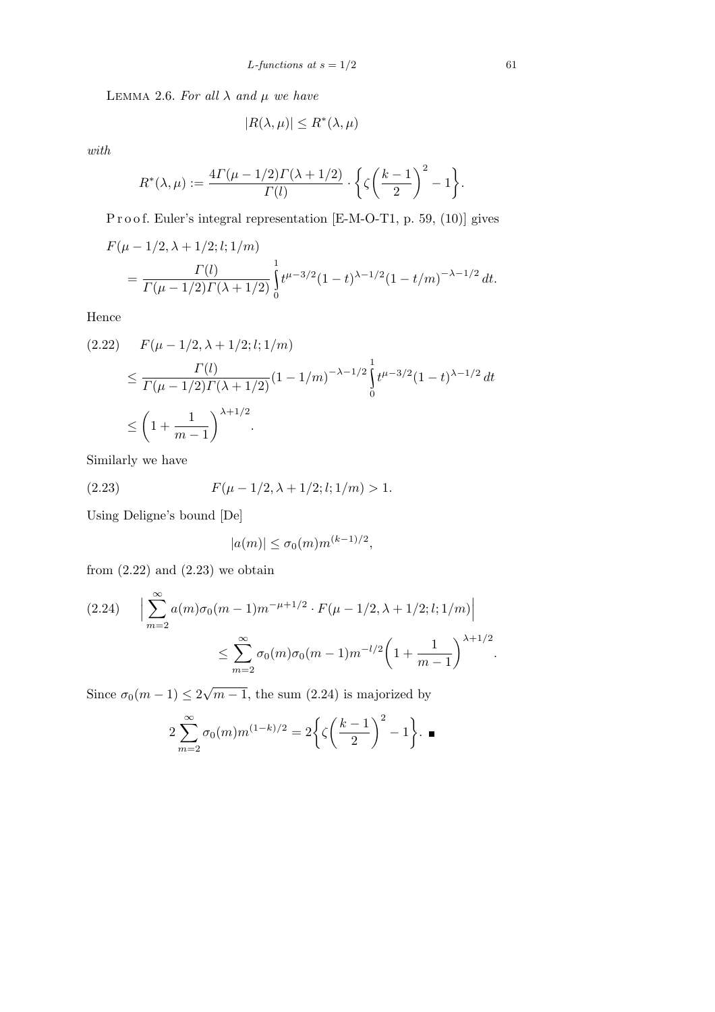LEMMA 2.6. For all  $\lambda$  and  $\mu$  we have

$$
|R(\lambda, \mu)| \le R^*(\lambda, \mu)
$$

*with*

$$
R^*(\lambda,\mu):=\frac{4\Gamma(\mu-1/2)\Gamma(\lambda+1/2)}{\Gamma(l)}\cdot\bigg\{\zeta\bigg(\frac{k-1}{2}\bigg)^2-1\bigg\}.
$$

P r o o f. Euler's integral representation [E-M-O-T1, p. 59, (10)] gives

$$
F(\mu - 1/2, \lambda + 1/2; l; 1/m)
$$
  
= 
$$
\frac{\Gamma(l)}{\Gamma(\mu - 1/2)\Gamma(\lambda + 1/2)} \int_{0}^{1} t^{\mu - 3/2} (1 - t)^{\lambda - 1/2} (1 - t/m)^{-\lambda - 1/2} dt.
$$

Hence

$$
(2.22) \quad F(\mu - 1/2, \lambda + 1/2; l; 1/m)
$$
  
\n
$$
\leq \frac{\Gamma(l)}{\Gamma(\mu - 1/2)\Gamma(\lambda + 1/2)} (1 - 1/m)^{-\lambda - 1/2} \int_{0}^{1} t^{\mu - 3/2} (1 - t)^{\lambda - 1/2} dt
$$
  
\n
$$
\leq \left(1 + \frac{1}{m - 1}\right)^{\lambda + 1/2}.
$$

Similarly we have

(2.23) 
$$
F(\mu - 1/2, \lambda + 1/2; l; 1/m) > 1.
$$

Using Deligne's bound [De]

$$
|a(m)| \le \sigma_0(m) m^{(k-1)/2},
$$

from  $(2.22)$  and  $(2.23)$  we obtain

$$
(2.24) \quad \Big| \sum_{m=2}^{\infty} a(m)\sigma_0(m-1)m^{-\mu+1/2} \cdot F(\mu-1/2,\lambda+1/2;l;1/m) \Big|
$$
  

$$
\leq \sum_{m=2}^{\infty} \sigma_0(m)\sigma_0(m-1)m^{-l/2}\left(1+\frac{1}{m-1}\right)^{\lambda+1/2}.
$$

Since  $\sigma_0(m-1) \leq 2$ *√*  $\overline{m-1}$ , the sum (2.24) is majorized by

$$
2\sum_{m=2}^{\infty} \sigma_0(m)m^{(1-k)/2} = 2\left\{\zeta\left(\frac{k-1}{2}\right)^2 - 1\right\}.\blacksquare
$$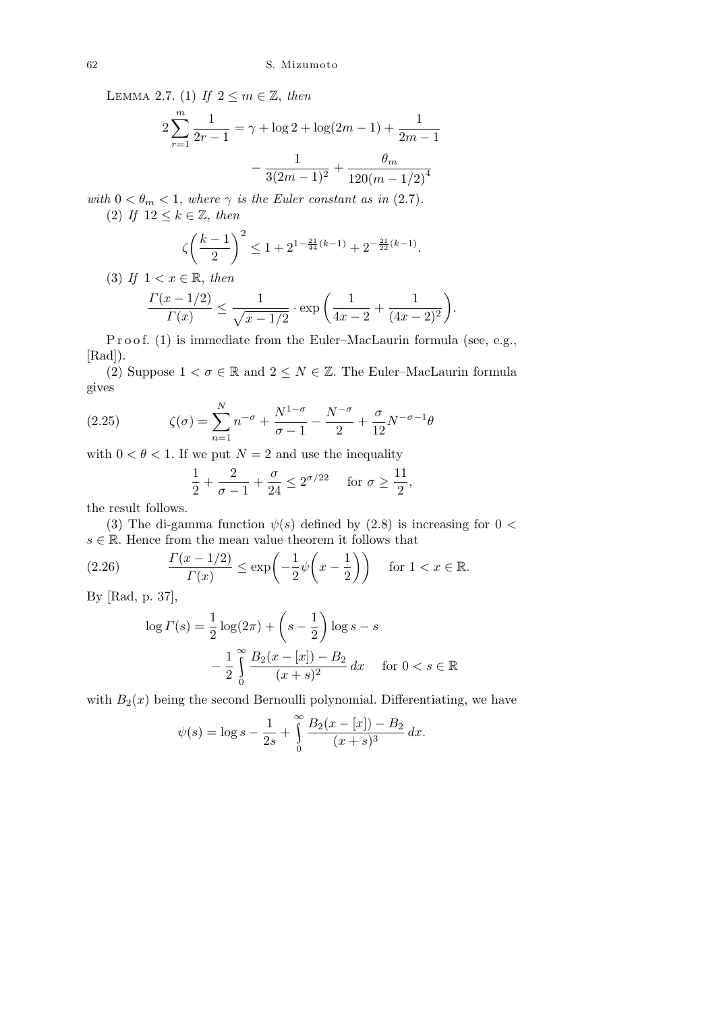LEMMA 2.7. (1) If  $2 \leq m \in \mathbb{Z}$ , then

$$
2\sum_{r=1}^{m} \frac{1}{2r-1} = \gamma + \log 2 + \log(2m-1) + \frac{1}{2m-1} - \frac{1}{3(2m-1)^2} + \frac{\theta_m}{120(m-1/2)^4}
$$

*with*  $0 < \theta_m < 1$ , *where*  $\gamma$  *is the Euler constant as in* (2.7)*.* (2) If  $12 \leq k \in \mathbb{Z}$ , then

$$
\zeta\biggl(\frac{k-1}{2}\biggr)^2 \leq 1 + 2^{1-\frac{21}{44}(k-1)} + 2^{-\frac{21}{22}(k-1)}.
$$

(3) If  $1 < x \in \mathbb{R}$ , then

$$
\frac{\Gamma(x-1/2)}{\Gamma(x)} \le \frac{1}{\sqrt{x-1/2}} \cdot \exp\left(\frac{1}{4x-2} + \frac{1}{(4x-2)^2}\right).
$$

P r o o f. (1) is immediate from the Euler–MacLaurin formula (see, e.g., [Rad]).

(2) Suppose  $1 < \sigma \in \mathbb{R}$  and  $2 \leq N \in \mathbb{Z}$ . The Euler–MacLaurin formula gives

(2.25) 
$$
\zeta(\sigma) = \sum_{n=1}^{N} n^{-\sigma} + \frac{N^{1-\sigma}}{\sigma - 1} - \frac{N^{-\sigma}}{2} + \frac{\sigma}{12} N^{-\sigma - 1} \theta
$$

with  $0 < \theta < 1$ . If we put  $N = 2$  and use the inequality

$$
\frac{1}{2} + \frac{2}{\sigma - 1} + \frac{\sigma}{24} \le 2^{\sigma/22} \quad \text{ for } \sigma \ge \frac{11}{2},
$$

the result follows.

(3) The di-gamma function  $\psi(s)$  defined by (2.8) is increasing for  $0 <$ 

$$
s \in \mathbb{R}
$$
. Hence from the mean value theorem it follows that\n $(2.26)$ \n
$$
\frac{\Gamma(x - 1/2)}{\Gamma(x)} \le \exp\left(-\frac{1}{2}\psi\left(x - \frac{1}{2}\right)\right) \quad \text{for } 1 < x \in \mathbb{R}.
$$

By [Rad, p. 37],

$$
\log \Gamma(s) = \frac{1}{2} \log(2\pi) + \left(s - \frac{1}{2}\right) \log s - s
$$

$$
- \frac{1}{2} \int_{0}^{\infty} \frac{B_2(x - [x]) - B_2}{(x + s)^2} dx \quad \text{for } 0 < s \in \mathbb{R}
$$

with  $B_2(x)$  being the second Bernoulli polynomial. Differentiating, we have

$$
\psi(s) = \log s - \frac{1}{2s} + \int_{0}^{\infty} \frac{B_2(x - [x]) - B_2}{(x + s)^3} dx.
$$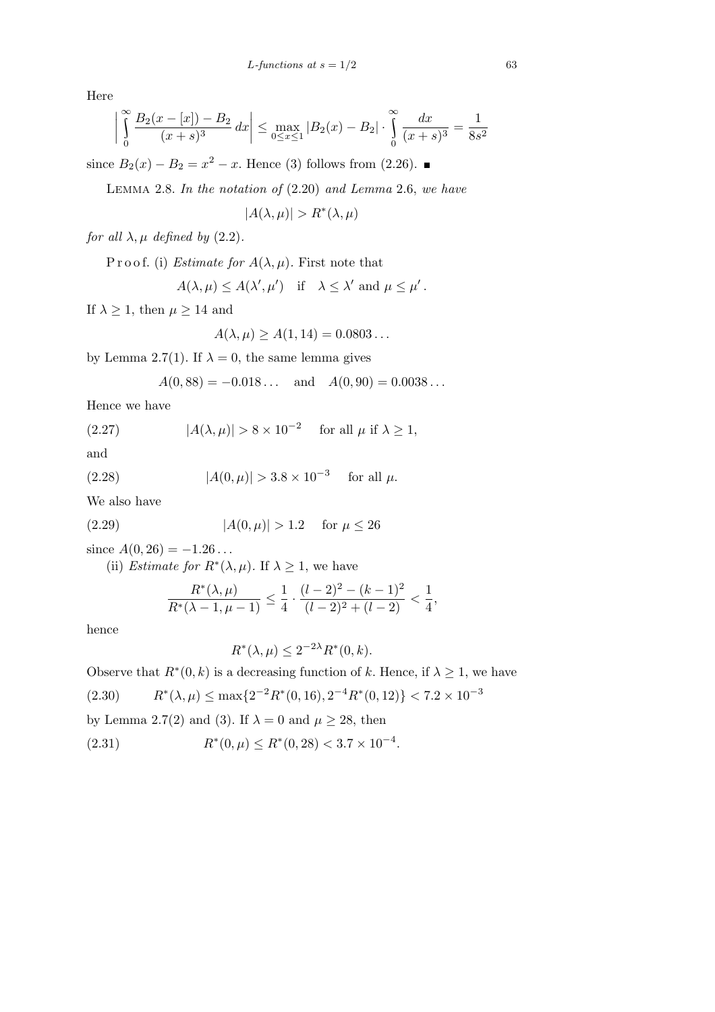Here

$$
\left|\int_{0}^{\infty} \frac{B_2(x - [x]) - B_2}{(x + s)^3} dx\right| \le \max_{0 \le x \le 1} |B_2(x) - B_2| \cdot \int_{0}^{\infty} \frac{dx}{(x + s)^3} = \frac{1}{8s^2}
$$

since  $B_2(x) - B_2 = x^2 - x$ . Hence (3) follows from (2.26).

Lemma 2.8. *In the notation of* (2*.*20) *and Lemma* 2*.*6, *we have*

$$
|A(\lambda, \mu)| > R^*(\lambda, \mu)
$$

*for all*  $\lambda$ *,*  $\mu$  *defined by* (2.2)*.* 

P r o o f. (i) *Estimate for*  $A(\lambda, \mu)$ *.* First note that

$$
A(\lambda, \mu) \le A(\lambda', \mu')
$$
 if  $\lambda \le \lambda'$  and  $\mu \le \mu'$ .

If  $\lambda \geq 1$ , then  $\mu \geq 14$  and

$$
A(\lambda,\mu) \ge A(1,14) = 0.0803\ldots
$$

by Lemma 2.7(1). If  $\lambda = 0$ , the same lemma gives

$$
A(0, 88) = -0.018...
$$
 and  $A(0, 90) = 0.0038...$ 

Hence we have

(2.27) 
$$
|A(\lambda, \mu)| > 8 \times 10^{-2} \quad \text{for all } \mu \text{ if } \lambda \ge 1,
$$

and

(2.28) 
$$
|A(0,\mu)| > 3.8 \times 10^{-3}
$$
 for all  $\mu$ .

We also have

(2.29) 
$$
|A(0,\mu)| > 1.2
$$
 for  $\mu \le 26$ 

since  $A(0, 26) = -1.26...$ 

(ii) *Estimate for*  $R^*(\lambda, \mu)$ . If  $\lambda \geq 1$ , we have

$$
\frac{R^*(\lambda,\mu)}{R^*(\lambda-1,\mu-1)} \le \frac{1}{4} \cdot \frac{(l-2)^2 - (k-1)^2}{(l-2)^2 + (l-2)} < \frac{1}{4},
$$

hence

$$
R^*(\lambda, \mu) \le 2^{-2\lambda} R^*(0, k).
$$

Observe that  $R^*(0, k)$  is a decreasing function of k. Hence, if  $\lambda \geq 1$ , we have

(2.30) 
$$
R^*(\lambda,\mu) \le \max\{2^{-2}R^*(0,16), 2^{-4}R^*(0,12)\} < 7.2 \times 10^{-3}
$$

by Lemma 2.7(2) and (3). If  $\lambda = 0$  and  $\mu \ge 28$ , then

(2.31) 
$$
R^*(0,\mu) \le R^*(0,28) < 3.7 \times 10^{-4}.
$$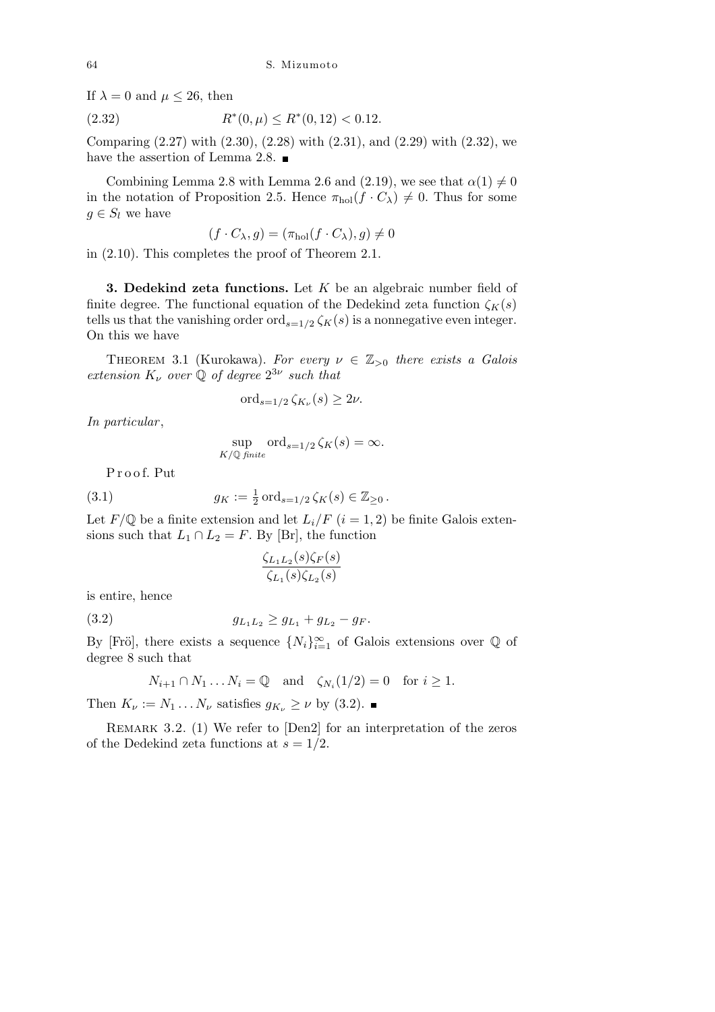If  $\lambda = 0$  and  $\mu \leq 26$ , then

(2.32) 
$$
R^*(0,\mu) \le R^*(0,12) < 0.12.
$$

Comparing (2.27) with (2.30), (2.28) with (2.31), and (2.29) with (2.32), we have the assertion of Lemma 2.8.

Combining Lemma 2.8 with Lemma 2.6 and (2.19), we see that  $\alpha(1) \neq 0$ in the notation of Proposition 2.5. Hence  $\pi_{hol}(f \cdot C_\lambda) \neq 0$ . Thus for some  $g \in S_l$  we have

$$
(f \cdot C_{\lambda}, g) = (\pi_{hol}(f \cdot C_{\lambda}), g) \neq 0
$$

in (2.10). This completes the proof of Theorem 2.1.

**3. Dedekind zeta functions.** Let *K* be an algebraic number field of finite degree. The functional equation of the Dedekind zeta function  $\zeta_K(s)$ tells us that the vanishing order ord<sub> $s=1/2$ </sub>  $\zeta_K(s)$  is a nonnegative even integer. On this we have

THEOREM 3.1 (Kurokawa). For every  $\nu \in \mathbb{Z}_{>0}$  there exists a Galois  $extension K<sub>\nu</sub> over Q of degree  $2^{3\nu}$  such that$ 

$$
\operatorname{ord}_{s=1/2}\zeta_{K_{\nu}}(s) \ge 2\nu.
$$

*In particular* ,

$$
\sup_{K/\mathbb{Q} \text{ finite}} \text{ord}_{s=1/2} \zeta_K(s) = \infty.
$$

P r o o f. Put

(3.1) 
$$
g_K := \frac{1}{2} \operatorname{ord}_{s=1/2} \zeta_K(s) \in \mathbb{Z}_{\geq 0}.
$$

Let  $F/\mathbb{Q}$  be a finite extension and let  $L_i/F$   $(i = 1, 2)$  be finite Galois extensions such that  $L_1 \cap L_2 = F$ . By [Br], the function

$$
\frac{\zeta_{L_1L_2}(s)\zeta_{F}(s)}{\zeta_{L_1}(s)\zeta_{L_2}(s)}
$$

is entire, hence

$$
(3.2) \t\t\t g_{L_1L_2} \ge g_{L_1} + g_{L_2} - g_F.
$$

By [Frö], there exists a sequence  $\{N_i\}_{i=1}^{\infty}$  of Galois extensions over Q of degree 8 such that

$$
N_{i+1} \cap N_1 \dots N_i = \mathbb{Q} \quad \text{and} \quad \zeta_{N_i}(1/2) = 0 \quad \text{for } i \ge 1.
$$

Then  $K_{\nu} := N_1 \dots N_{\nu}$  satisfies  $g_{K_{\nu}} \geq \nu$  by (3.2).

REMARK 3.2. (1) We refer to [Den2] for an interpretation of the zeros of the Dedekind zeta functions at  $s = 1/2$ .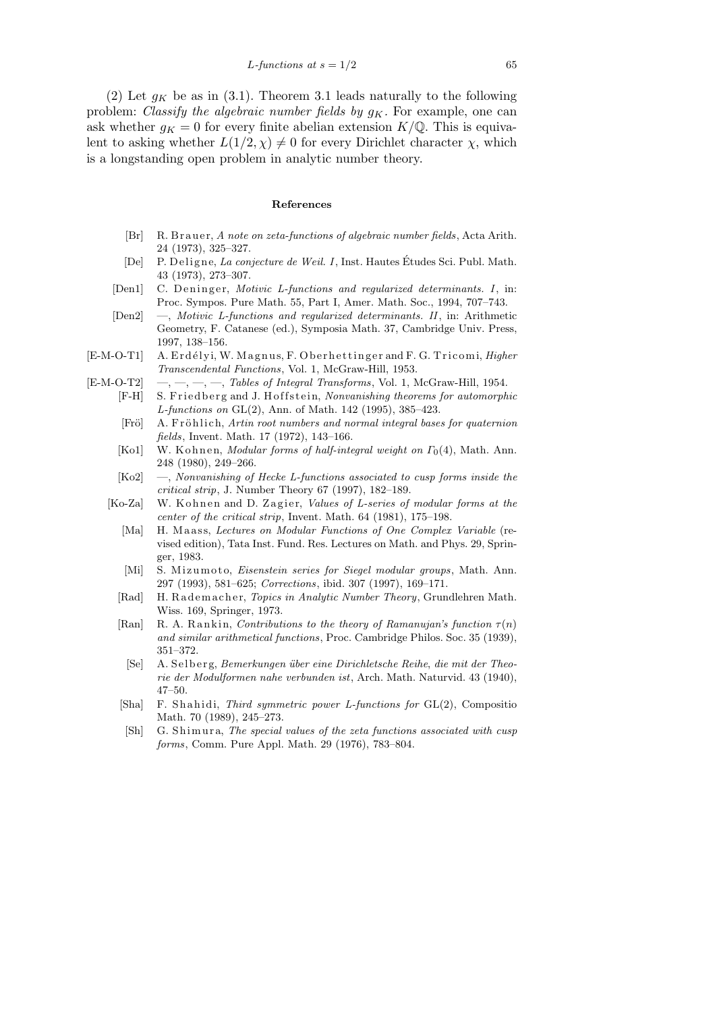(2) Let  $g_K$  be as in (3.1). Theorem 3.1 leads naturally to the following problem: *Classify the algebraic number fields by*  $g_K$ . For example, one can ask whether  $g_K = 0$  for every finite abelian extension  $K/\mathbb{Q}$ . This is equivalent to asking whether  $L(1/2, \chi) \neq 0$  for every Dirichlet character  $\chi$ , which is a longstanding open problem in analytic number theory.

## **References**

- [Br] R. Brauer, *A note on zeta-functions of algebraic number fields*, Acta Arith. 24 (1973), 325–327.
- [De] P. Deligne, *La conjecture de Weil. I*, Inst. Hautes Etudes Sci. Publ. Math. 43 (1973), 273–307.
- [Den1] C. Deninger, *Motivic L-functions and regularized determinants. I*, in: Proc. Sympos. Pure Math. 55, Part I, Amer. Math. Soc., 1994, 707–743.
- [Den2] —, *Motivic L-functions and regularized determinants. II*, in: Arithmetic Geometry, F. Catanese (ed.), Symposia Math. 37, Cambridge Univ. Press, 1997, 138–156.
- [E-M-O-T1] A. Erdélyi, W. Magnus, F. Oberhettinger and F. G. Tricomi, *Higher Transcendental Functions*, Vol. 1, McGraw-Hill, 1953.
- [E-M-O-T2] —, —, —, —, *Tables of Integral Transforms*, Vol. 1, McGraw-Hill, 1954.
	- [F-H] S. Friedberg and J. Hoffstein, *Nonvanishing theorems for automorphic L-functions on* GL(2), Ann. of Math. 142 (1995), 385–423.
		- [Frö] A. Fröhlich, *Artin root numbers and normal integral bases for quaternion fields*, Invent. Math. 17 (1972), 143–166.
		- [Ko1] W. Kohnen, *Modular forms of half-integral weight on*  $\Gamma_0(4)$ , Math. Ann. 248 (1980), 249–266.
		- [Ko2] —, *Nonvanishing of Hecke L-functions associated to cusp forms inside the critical strip*, J. Number Theory 67 (1997), 182–189.
	- [Ko-Za] W. K ohnen and D. Zagier, *Values of L-series of modular forms at the center of the critical strip*, Invent. Math. 64 (1981), 175–198.
		- [Ma] H. Maass, *Lectures on Modular Functions of One Complex Variable* (revised edition), Tata Inst. Fund. Res. Lectures on Math. and Phys. 29, Springer, 1983.
		- [Mi] S. Mizumoto, *Eisenstein series for Siegel modular groups*, Math. Ann. 297 (1993), 581–625; *Corrections*, ibid. 307 (1997), 169–171.
		- [Rad] H. Rademacher, *Topics in Analytic Number Theory*, Grundlehren Math. Wiss. 169, Springer, 1973.
		- [Ran] R. A. Rankin, *Contributions to the theory of Ramanujan's function*  $\tau(n)$ *and similar arithmetical functions*, Proc. Cambridge Philos. Soc. 35 (1939), 351–372.
		- [Se] A. S el b e r g, *Bemerkungen ¨uber eine Dirichletsche Reihe, die mit der Theorie der Modulformen nahe verbunden ist*, Arch. Math. Naturvid. 43 (1940), 47–50.
		- [Sha] F. S h a hi di, *Third symmetric power L-functions for* GL(2), Compositio Math. 70 (1989), 245–273.
		- [Sh] G. Shimura, *The special values of the zeta functions associated with cusp forms*, Comm. Pure Appl. Math. 29 (1976), 783–804.